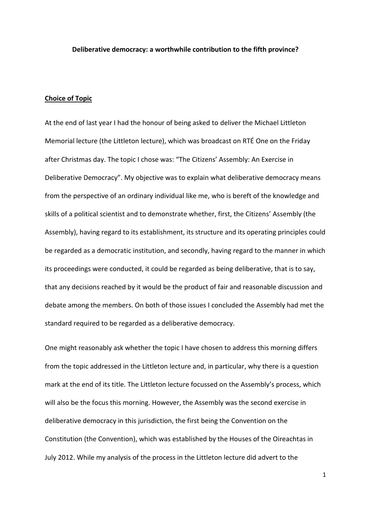#### **Deliberative democracy: a worthwhile contribution to the fifth province?**

## **Choice of Topic**

At the end of last year I had the honour of being asked to deliver the Michael Littleton Memorial lecture (the Littleton lecture), which was broadcast on RTÉ One on the Friday after Christmas day. The topic I chose was: "The Citizens' Assembly: An Exercise in Deliberative Democracy". My objective was to explain what deliberative democracy means from the perspective of an ordinary individual like me, who is bereft of the knowledge and skills of a political scientist and to demonstrate whether, first, the Citizens' Assembly (the Assembly), having regard to its establishment, its structure and its operating principles could be regarded as a democratic institution, and secondly, having regard to the manner in which its proceedings were conducted, it could be regarded as being deliberative, that is to say, that any decisions reached by it would be the product of fair and reasonable discussion and debate among the members. On both of those issues I concluded the Assembly had met the standard required to be regarded as a deliberative democracy.

One might reasonably ask whether the topic I have chosen to address this morning differs from the topic addressed in the Littleton lecture and, in particular, why there is a question mark at the end of its title. The Littleton lecture focussed on the Assembly's process, which will also be the focus this morning. However, the Assembly was the second exercise in deliberative democracy in this jurisdiction, the first being the Convention on the Constitution (the Convention), which was established by the Houses of the Oireachtas in July 2012. While my analysis of the process in the Littleton lecture did advert to the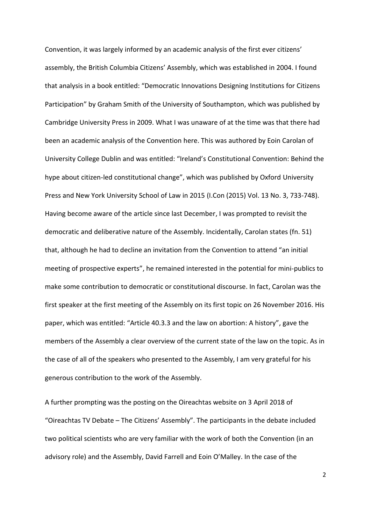Convention, it was largely informed by an academic analysis of the first ever citizens' assembly, the British Columbia Citizens' Assembly, which was established in 2004. I found that analysis in a book entitled: "Democratic Innovations Designing Institutions for Citizens Participation" by Graham Smith of the University of Southampton, which was published by Cambridge University Press in 2009. What I was unaware of at the time was that there had been an academic analysis of the Convention here. This was authored by Eoin Carolan of University College Dublin and was entitled: "Ireland's Constitutional Convention: Behind the hype about citizen-led constitutional change", which was published by Oxford University Press and New York University School of Law in 2015 (I.Con (2015) Vol. 13 No. 3, 733-748). Having become aware of the article since last December, I was prompted to revisit the democratic and deliberative nature of the Assembly. Incidentally, Carolan states (fn. 51) that, although he had to decline an invitation from the Convention to attend "an initial meeting of prospective experts", he remained interested in the potential for mini-publics to make some contribution to democratic or constitutional discourse. In fact, Carolan was the first speaker at the first meeting of the Assembly on its first topic on 26 November 2016. His paper, which was entitled: "Article 40.3.3 and the law on abortion: A history", gave the members of the Assembly a clear overview of the current state of the law on the topic. As in the case of all of the speakers who presented to the Assembly, I am very grateful for his generous contribution to the work of the Assembly.

A further prompting was the posting on the Oireachtas website on 3 April 2018 of "Oireachtas TV Debate – The Citizens' Assembly". The participants in the debate included two political scientists who are very familiar with the work of both the Convention (in an advisory role) and the Assembly, David Farrell and Eoin O'Malley. In the case of the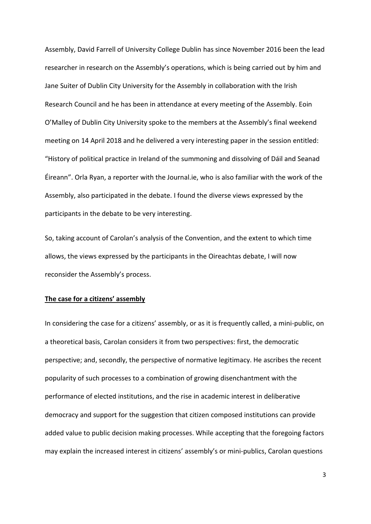Assembly, David Farrell of University College Dublin has since November 2016 been the lead researcher in research on the Assembly's operations, which is being carried out by him and Jane Suiter of Dublin City University for the Assembly in collaboration with the Irish Research Council and he has been in attendance at every meeting of the Assembly. Eoin O'Malley of Dublin City University spoke to the members at the Assembly's final weekend meeting on 14 April 2018 and he delivered a very interesting paper in the session entitled: "History of political practice in Ireland of the summoning and dissolving of Dáil and Seanad Éireann". Orla Ryan, a reporter with the Journal.ie, who is also familiar with the work of the Assembly, also participated in the debate. I found the diverse views expressed by the participants in the debate to be very interesting.

So, taking account of Carolan's analysis of the Convention, and the extent to which time allows, the views expressed by the participants in the Oireachtas debate, I will now reconsider the Assembly's process.

## **The case for a citizens' assembly**

In considering the case for a citizens' assembly, or as it is frequently called, a mini-public, on a theoretical basis, Carolan considers it from two perspectives: first, the democratic perspective; and, secondly, the perspective of normative legitimacy. He ascribes the recent popularity of such processes to a combination of growing disenchantment with the performance of elected institutions, and the rise in academic interest in deliberative democracy and support for the suggestion that citizen composed institutions can provide added value to public decision making processes. While accepting that the foregoing factors may explain the increased interest in citizens' assembly's or mini-publics, Carolan questions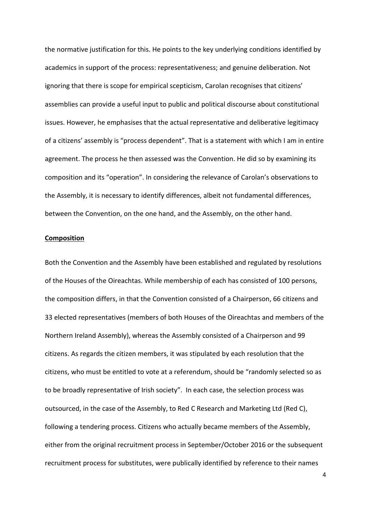the normative justification for this. He points to the key underlying conditions identified by academics in support of the process: representativeness; and genuine deliberation. Not ignoring that there is scope for empirical scepticism, Carolan recognises that citizens' assemblies can provide a useful input to public and political discourse about constitutional issues. However, he emphasises that the actual representative and deliberative legitimacy of a citizens' assembly is "process dependent". That is a statement with which I am in entire agreement. The process he then assessed was the Convention. He did so by examining its composition and its "operation". In considering the relevance of Carolan's observations to the Assembly, it is necessary to identify differences, albeit not fundamental differences, between the Convention, on the one hand, and the Assembly, on the other hand.

### **Composition**

Both the Convention and the Assembly have been established and regulated by resolutions of the Houses of the Oireachtas. While membership of each has consisted of 100 persons, the composition differs, in that the Convention consisted of a Chairperson, 66 citizens and 33 elected representatives (members of both Houses of the Oireachtas and members of the Northern Ireland Assembly), whereas the Assembly consisted of a Chairperson and 99 citizens. As regards the citizen members, it was stipulated by each resolution that the citizens, who must be entitled to vote at a referendum, should be "randomly selected so as to be broadly representative of Irish society". In each case, the selection process was outsourced, in the case of the Assembly, to Red C Research and Marketing Ltd (Red C), following a tendering process. Citizens who actually became members of the Assembly, either from the original recruitment process in September/October 2016 or the subsequent recruitment process for substitutes, were publically identified by reference to their names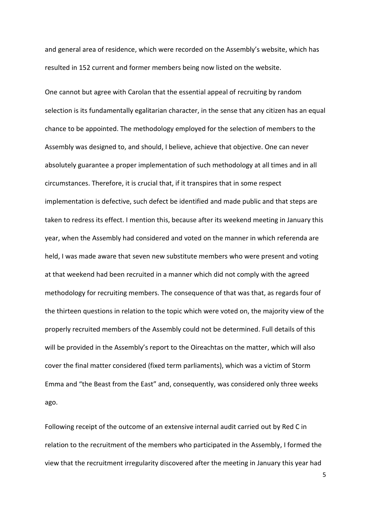and general area of residence, which were recorded on the Assembly's website, which has resulted in 152 current and former members being now listed on the website.

One cannot but agree with Carolan that the essential appeal of recruiting by random selection is its fundamentally egalitarian character, in the sense that any citizen has an equal chance to be appointed. The methodology employed for the selection of members to the Assembly was designed to, and should, I believe, achieve that objective. One can never absolutely guarantee a proper implementation of such methodology at all times and in all circumstances. Therefore, it is crucial that, if it transpires that in some respect implementation is defective, such defect be identified and made public and that steps are taken to redress its effect. I mention this, because after its weekend meeting in January this year, when the Assembly had considered and voted on the manner in which referenda are held, I was made aware that seven new substitute members who were present and voting at that weekend had been recruited in a manner which did not comply with the agreed methodology for recruiting members. The consequence of that was that, as regards four of the thirteen questions in relation to the topic which were voted on, the majority view of the properly recruited members of the Assembly could not be determined. Full details of this will be provided in the Assembly's report to the Oireachtas on the matter, which will also cover the final matter considered (fixed term parliaments), which was a victim of Storm Emma and "the Beast from the East" and, consequently, was considered only three weeks ago.

Following receipt of the outcome of an extensive internal audit carried out by Red C in relation to the recruitment of the members who participated in the Assembly, I formed the view that the recruitment irregularity discovered after the meeting in January this year had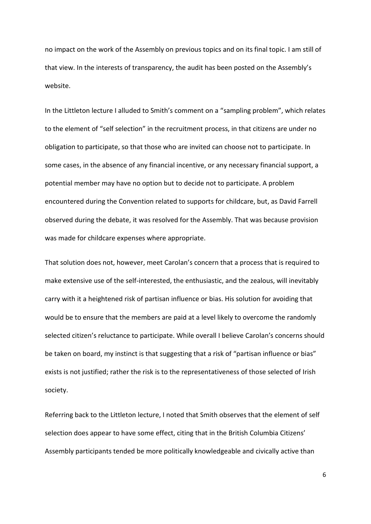no impact on the work of the Assembly on previous topics and on its final topic. I am still of that view. In the interests of transparency, the audit has been posted on the Assembly's website.

In the Littleton lecture I alluded to Smith's comment on a "sampling problem", which relates to the element of "self selection" in the recruitment process, in that citizens are under no obligation to participate, so that those who are invited can choose not to participate. In some cases, in the absence of any financial incentive, or any necessary financial support, a potential member may have no option but to decide not to participate. A problem encountered during the Convention related to supports for childcare, but, as David Farrell observed during the debate, it was resolved for the Assembly. That was because provision was made for childcare expenses where appropriate.

That solution does not, however, meet Carolan's concern that a process that is required to make extensive use of the self-interested, the enthusiastic, and the zealous, will inevitably carry with it a heightened risk of partisan influence or bias. His solution for avoiding that would be to ensure that the members are paid at a level likely to overcome the randomly selected citizen's reluctance to participate. While overall I believe Carolan's concerns should be taken on board, my instinct is that suggesting that a risk of "partisan influence or bias" exists is not justified; rather the risk is to the representativeness of those selected of Irish society.

Referring back to the Littleton lecture, I noted that Smith observes that the element of self selection does appear to have some effect, citing that in the British Columbia Citizens' Assembly participants tended be more politically knowledgeable and civically active than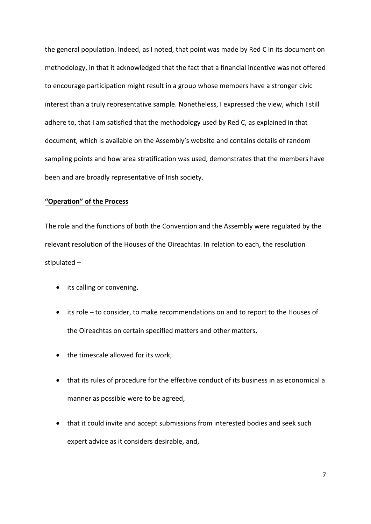the general population. Indeed, as I noted, that point was made by Red C in its document on methodology, in that it acknowledged that the fact that a financial incentive was not offered to encourage participation might result in a group whose members have a stronger civic interest than a truly representative sample. Nonetheless, I expressed the view, which I still adhere to, that I am satisfied that the methodology used by Red C, as explained in that document, which is available on the Assembly's website and contains details of random sampling points and how area stratification was used, demonstrates that the members have been and are broadly representative of Irish society.

# **"Operation" of the Process**

The role and the functions of both the Convention and the Assembly were regulated by the relevant resolution of the Houses of the Oireachtas. In relation to each, the resolution stipulated –

- its calling or convening,
- its role to consider, to make recommendations on and to report to the Houses of the Oireachtas on certain specified matters and other matters,
- the timescale allowed for its work,
- that its rules of procedure for the effective conduct of its business in as economical a manner as possible were to be agreed,
- that it could invite and accept submissions from interested bodies and seek such expert advice as it considers desirable, and,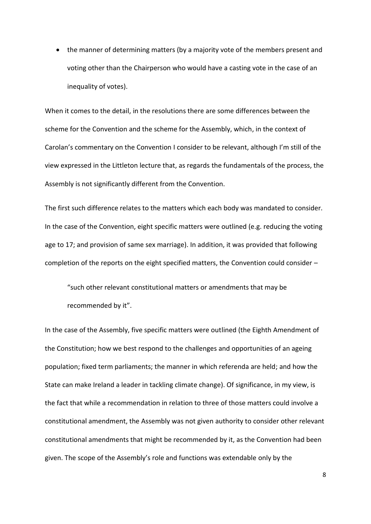the manner of determining matters (by a majority vote of the members present and voting other than the Chairperson who would have a casting vote in the case of an inequality of votes).

When it comes to the detail, in the resolutions there are some differences between the scheme for the Convention and the scheme for the Assembly, which, in the context of Carolan's commentary on the Convention I consider to be relevant, although I'm still of the view expressed in the Littleton lecture that, as regards the fundamentals of the process, the Assembly is not significantly different from the Convention.

The first such difference relates to the matters which each body was mandated to consider. In the case of the Convention, eight specific matters were outlined (e.g. reducing the voting age to 17; and provision of same sex marriage). In addition, it was provided that following completion of the reports on the eight specified matters, the Convention could consider –

"such other relevant constitutional matters or amendments that may be recommended by it".

In the case of the Assembly, five specific matters were outlined (the Eighth Amendment of the Constitution; how we best respond to the challenges and opportunities of an ageing population; fixed term parliaments; the manner in which referenda are held; and how the State can make Ireland a leader in tackling climate change). Of significance, in my view, is the fact that while a recommendation in relation to three of those matters could involve a constitutional amendment, the Assembly was not given authority to consider other relevant constitutional amendments that might be recommended by it, as the Convention had been given. The scope of the Assembly's role and functions was extendable only by the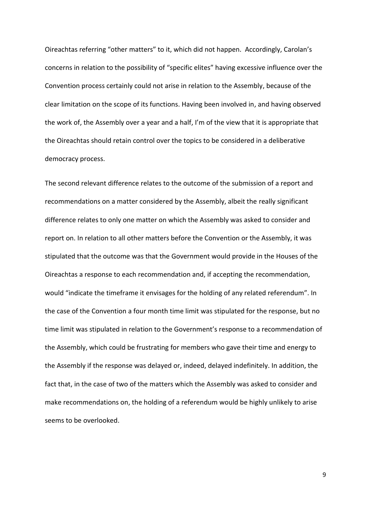Oireachtas referring "other matters" to it, which did not happen. Accordingly, Carolan's concerns in relation to the possibility of "specific elites" having excessive influence over the Convention process certainly could not arise in relation to the Assembly, because of the clear limitation on the scope of its functions. Having been involved in, and having observed the work of, the Assembly over a year and a half, I'm of the view that it is appropriate that the Oireachtas should retain control over the topics to be considered in a deliberative democracy process.

The second relevant difference relates to the outcome of the submission of a report and recommendations on a matter considered by the Assembly, albeit the really significant difference relates to only one matter on which the Assembly was asked to consider and report on. In relation to all other matters before the Convention or the Assembly, it was stipulated that the outcome was that the Government would provide in the Houses of the Oireachtas a response to each recommendation and, if accepting the recommendation, would "indicate the timeframe it envisages for the holding of any related referendum". In the case of the Convention a four month time limit was stipulated for the response, but no time limit was stipulated in relation to the Government's response to a recommendation of the Assembly, which could be frustrating for members who gave their time and energy to the Assembly if the response was delayed or, indeed, delayed indefinitely. In addition, the fact that, in the case of two of the matters which the Assembly was asked to consider and make recommendations on, the holding of a referendum would be highly unlikely to arise seems to be overlooked.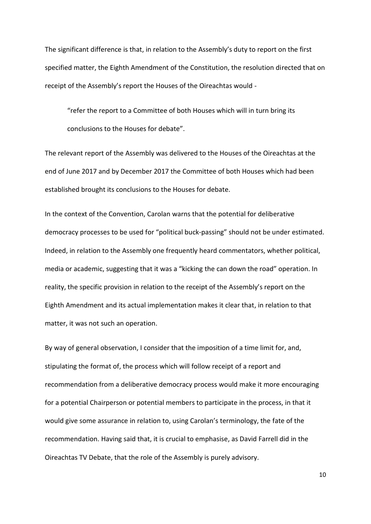The significant difference is that, in relation to the Assembly's duty to report on the first specified matter, the Eighth Amendment of the Constitution, the resolution directed that on receipt of the Assembly's report the Houses of the Oireachtas would -

"refer the report to a Committee of both Houses which will in turn bring its conclusions to the Houses for debate".

The relevant report of the Assembly was delivered to the Houses of the Oireachtas at the end of June 2017 and by December 2017 the Committee of both Houses which had been established brought its conclusions to the Houses for debate.

In the context of the Convention, Carolan warns that the potential for deliberative democracy processes to be used for "political buck-passing" should not be under estimated. Indeed, in relation to the Assembly one frequently heard commentators, whether political, media or academic, suggesting that it was a "kicking the can down the road" operation. In reality, the specific provision in relation to the receipt of the Assembly's report on the Eighth Amendment and its actual implementation makes it clear that, in relation to that matter, it was not such an operation.

By way of general observation, I consider that the imposition of a time limit for, and, stipulating the format of, the process which will follow receipt of a report and recommendation from a deliberative democracy process would make it more encouraging for a potential Chairperson or potential members to participate in the process, in that it would give some assurance in relation to, using Carolan's terminology, the fate of the recommendation. Having said that, it is crucial to emphasise, as David Farrell did in the Oireachtas TV Debate, that the role of the Assembly is purely advisory.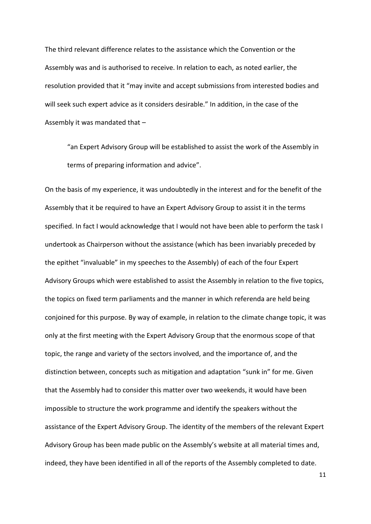The third relevant difference relates to the assistance which the Convention or the Assembly was and is authorised to receive. In relation to each, as noted earlier, the resolution provided that it "may invite and accept submissions from interested bodies and will seek such expert advice as it considers desirable." In addition, in the case of the Assembly it was mandated that –

"an Expert Advisory Group will be established to assist the work of the Assembly in terms of preparing information and advice".

On the basis of my experience, it was undoubtedly in the interest and for the benefit of the Assembly that it be required to have an Expert Advisory Group to assist it in the terms specified. In fact I would acknowledge that I would not have been able to perform the task I undertook as Chairperson without the assistance (which has been invariably preceded by the epithet "invaluable" in my speeches to the Assembly) of each of the four Expert Advisory Groups which were established to assist the Assembly in relation to the five topics, the topics on fixed term parliaments and the manner in which referenda are held being conjoined for this purpose. By way of example, in relation to the climate change topic, it was only at the first meeting with the Expert Advisory Group that the enormous scope of that topic, the range and variety of the sectors involved, and the importance of, and the distinction between, concepts such as mitigation and adaptation "sunk in" for me. Given that the Assembly had to consider this matter over two weekends, it would have been impossible to structure the work programme and identify the speakers without the assistance of the Expert Advisory Group. The identity of the members of the relevant Expert Advisory Group has been made public on the Assembly's website at all material times and, indeed, they have been identified in all of the reports of the Assembly completed to date.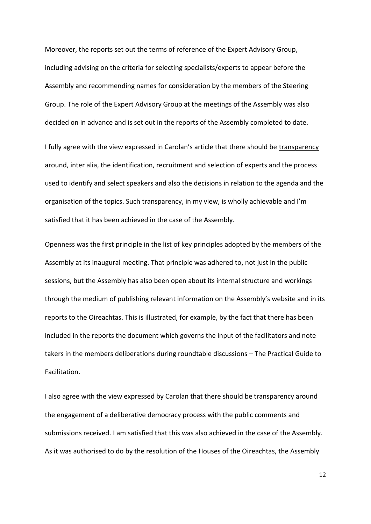Moreover, the reports set out the terms of reference of the Expert Advisory Group, including advising on the criteria for selecting specialists/experts to appear before the Assembly and recommending names for consideration by the members of the Steering Group. The role of the Expert Advisory Group at the meetings of the Assembly was also decided on in advance and is set out in the reports of the Assembly completed to date.

I fully agree with the view expressed in Carolan's article that there should be transparency around, inter alia, the identification, recruitment and selection of experts and the process used to identify and select speakers and also the decisions in relation to the agenda and the organisation of the topics. Such transparency, in my view, is wholly achievable and I'm satisfied that it has been achieved in the case of the Assembly.

Openness was the first principle in the list of key principles adopted by the members of the Assembly at its inaugural meeting. That principle was adhered to, not just in the public sessions, but the Assembly has also been open about its internal structure and workings through the medium of publishing relevant information on the Assembly's website and in its reports to the Oireachtas. This is illustrated, for example, by the fact that there has been included in the reports the document which governs the input of the facilitators and note takers in the members deliberations during roundtable discussions – The Practical Guide to Facilitation.

I also agree with the view expressed by Carolan that there should be transparency around the engagement of a deliberative democracy process with the public comments and submissions received. I am satisfied that this was also achieved in the case of the Assembly. As it was authorised to do by the resolution of the Houses of the Oireachtas, the Assembly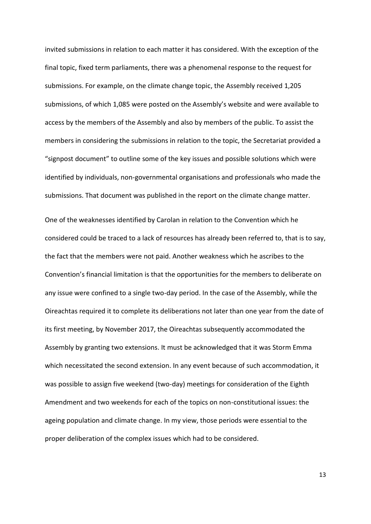invited submissions in relation to each matter it has considered. With the exception of the final topic, fixed term parliaments, there was a phenomenal response to the request for submissions. For example, on the climate change topic, the Assembly received 1,205 submissions, of which 1,085 were posted on the Assembly's website and were available to access by the members of the Assembly and also by members of the public. To assist the members in considering the submissions in relation to the topic, the Secretariat provided a "signpost document" to outline some of the key issues and possible solutions which were identified by individuals, non-governmental organisations and professionals who made the submissions. That document was published in the report on the climate change matter.

One of the weaknesses identified by Carolan in relation to the Convention which he considered could be traced to a lack of resources has already been referred to, that is to say, the fact that the members were not paid. Another weakness which he ascribes to the Convention's financial limitation is that the opportunities for the members to deliberate on any issue were confined to a single two-day period. In the case of the Assembly, while the Oireachtas required it to complete its deliberations not later than one year from the date of its first meeting, by November 2017, the Oireachtas subsequently accommodated the Assembly by granting two extensions. It must be acknowledged that it was Storm Emma which necessitated the second extension. In any event because of such accommodation, it was possible to assign five weekend (two-day) meetings for consideration of the Eighth Amendment and two weekends for each of the topics on non-constitutional issues: the ageing population and climate change. In my view, those periods were essential to the proper deliberation of the complex issues which had to be considered.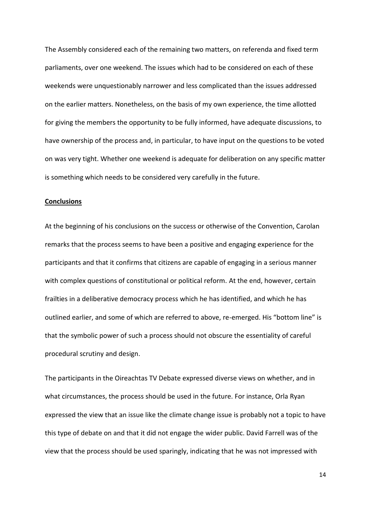The Assembly considered each of the remaining two matters, on referenda and fixed term parliaments, over one weekend. The issues which had to be considered on each of these weekends were unquestionably narrower and less complicated than the issues addressed on the earlier matters. Nonetheless, on the basis of my own experience, the time allotted for giving the members the opportunity to be fully informed, have adequate discussions, to have ownership of the process and, in particular, to have input on the questions to be voted on was very tight. Whether one weekend is adequate for deliberation on any specific matter is something which needs to be considered very carefully in the future.

### **Conclusions**

At the beginning of his conclusions on the success or otherwise of the Convention, Carolan remarks that the process seems to have been a positive and engaging experience for the participants and that it confirms that citizens are capable of engaging in a serious manner with complex questions of constitutional or political reform. At the end, however, certain frailties in a deliberative democracy process which he has identified, and which he has outlined earlier, and some of which are referred to above, re-emerged. His "bottom line" is that the symbolic power of such a process should not obscure the essentiality of careful procedural scrutiny and design.

The participants in the Oireachtas TV Debate expressed diverse views on whether, and in what circumstances, the process should be used in the future. For instance, Orla Ryan expressed the view that an issue like the climate change issue is probably not a topic to have this type of debate on and that it did not engage the wider public. David Farrell was of the view that the process should be used sparingly, indicating that he was not impressed with